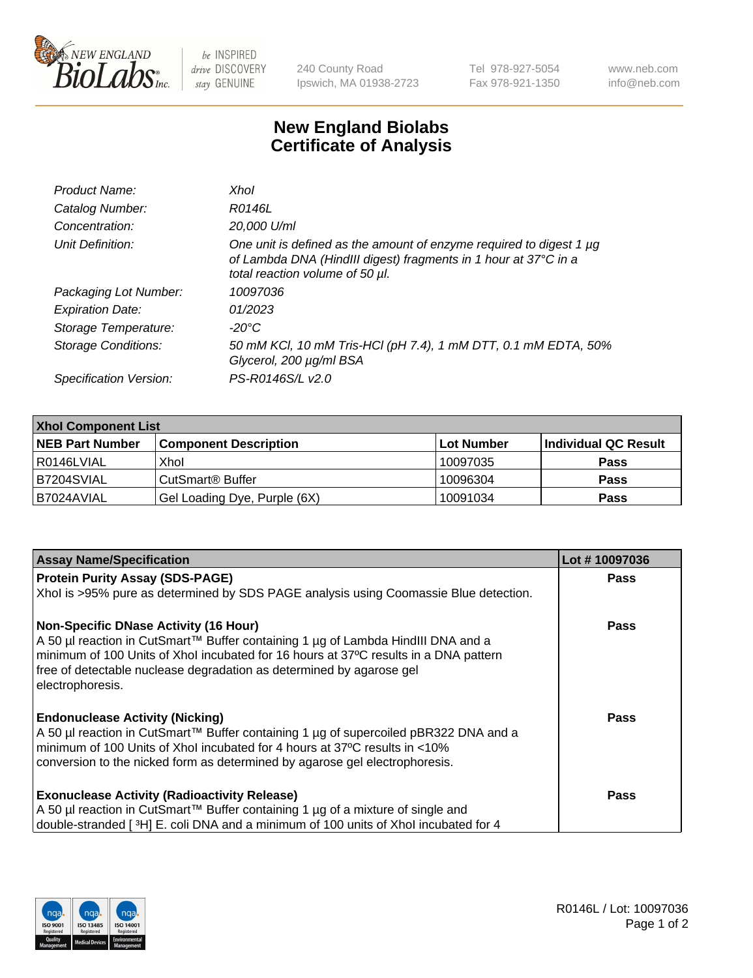

 $be$  INSPIRED drive DISCOVERY stay GENUINE

240 County Road Ipswich, MA 01938-2723 Tel 978-927-5054 Fax 978-921-1350 www.neb.com info@neb.com

## **New England Biolabs Certificate of Analysis**

| Product Name:              | Xhol                                                                                                                                                                      |
|----------------------------|---------------------------------------------------------------------------------------------------------------------------------------------------------------------------|
| Catalog Number:            | R0146L                                                                                                                                                                    |
| Concentration:             | 20,000 U/ml                                                                                                                                                               |
| Unit Definition:           | One unit is defined as the amount of enzyme required to digest 1 µg<br>of Lambda DNA (HindIII digest) fragments in 1 hour at 37°C in a<br>total reaction volume of 50 µl. |
| Packaging Lot Number:      | 10097036                                                                                                                                                                  |
| <b>Expiration Date:</b>    | 01/2023                                                                                                                                                                   |
| Storage Temperature:       | -20°C                                                                                                                                                                     |
| <b>Storage Conditions:</b> | 50 mM KCl, 10 mM Tris-HCl (pH 7.4), 1 mM DTT, 0.1 mM EDTA, 50%<br>Glycerol, 200 µg/ml BSA                                                                                 |
| Specification Version:     | PS-R0146S/L v2.0                                                                                                                                                          |

| <b>Xhol Component List</b> |                              |            |                      |  |  |
|----------------------------|------------------------------|------------|----------------------|--|--|
| <b>NEB Part Number</b>     | <b>Component Description</b> | Lot Number | Individual QC Result |  |  |
| R0146LVIAL                 | Xhol                         | 10097035   | <b>Pass</b>          |  |  |
| IB7204SVIAL                | CutSmart® Buffer             | 10096304   | <b>Pass</b>          |  |  |
| B7024AVIAL                 | Gel Loading Dye, Purple (6X) | 10091034   | <b>Pass</b>          |  |  |

| <b>Assay Name/Specification</b>                                                                                                                                                                                                                                                                                 | Lot #10097036 |
|-----------------------------------------------------------------------------------------------------------------------------------------------------------------------------------------------------------------------------------------------------------------------------------------------------------------|---------------|
| <b>Protein Purity Assay (SDS-PAGE)</b>                                                                                                                                                                                                                                                                          | <b>Pass</b>   |
| Xhol is >95% pure as determined by SDS PAGE analysis using Coomassie Blue detection.                                                                                                                                                                                                                            |               |
| Non-Specific DNase Activity (16 Hour)<br>  A 50 µl reaction in CutSmart™ Buffer containing 1 µg of Lambda HindIII DNA and a<br>minimum of 100 Units of Xhol incubated for 16 hours at 37°C results in a DNA pattern<br>free of detectable nuclease degradation as determined by agarose gel<br>electrophoresis. | Pass          |
| <b>Endonuclease Activity (Nicking)</b><br>  A 50 µl reaction in CutSmart™ Buffer containing 1 µg of supercoiled pBR322 DNA and a<br>minimum of 100 Units of Xhol incubated for 4 hours at 37°C results in <10%<br>conversion to the nicked form as determined by agarose gel electrophoresis.                   | Pass          |
| <b>Exonuclease Activity (Radioactivity Release)</b>                                                                                                                                                                                                                                                             | Pass          |
| A 50 µl reaction in CutSmart™ Buffer containing 1 µg of a mixture of single and<br>double-stranded [3H] E. coli DNA and a minimum of 100 units of Xhol incubated for 4                                                                                                                                          |               |